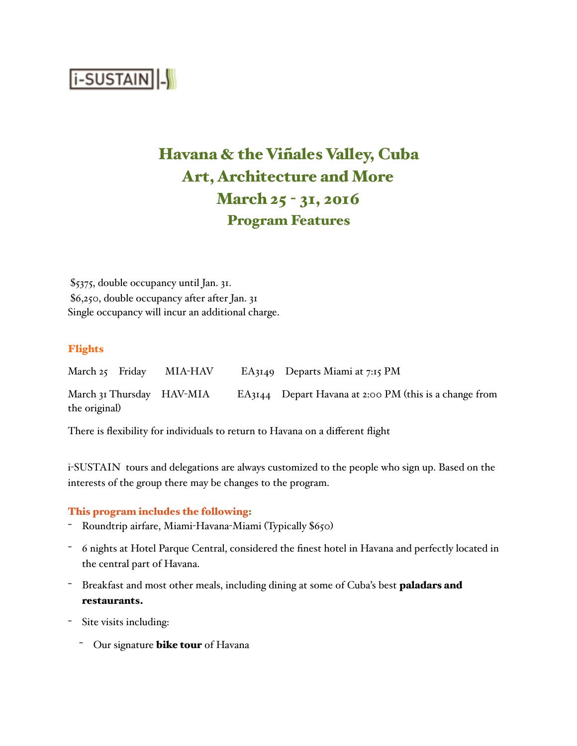

# Havana & the Viñales Valley, Cuba Art, Architecture and More March 25 - 31, 2016 Program Features

\$5375, double occupancy until Jan. 31. \$6,250, double occupancy after after Jan. 31 Single occupancy will incur an additional charge.

## Flights

March 25 Friday MIA-HAV EA3149 Departs Miami at 7:15 PM March 31 Thursday HAV-MIA EA3144 Depart Havana at 2:00 PM (this is a change from the original)

There is flexibility for individuals to return to Havana on a different flight

i-SUSTAIN tours and delegations are always customized to the people who sign up. Based on the interests of the group there may be changes to the program.

#### This program includes the following:

- Roundtrip airfare, Miami-Havana-Miami (Typically \$650)
- 6 nights at Hotel Parque Central, considered the finest hotel in Havana and perfectly located in the central part of Havana.
- Breakfast and most other meals, including dining at some of Cuba's best paladars and restaurants.
- Site visits including:
	- Our signature **bike tour** of Havana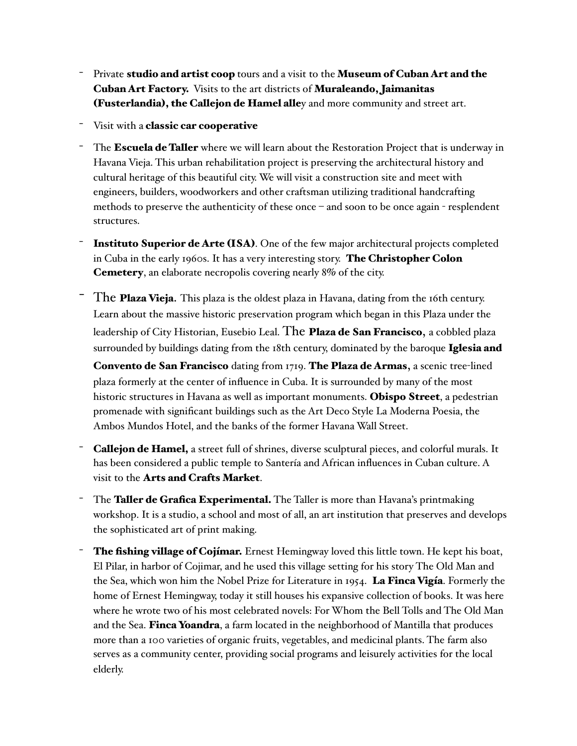- Private studio and artist coop tours and a visit to the Museum of Cuban Art and the Cuban Art Factory. Visits to the art districts of Muraleando, Jaimanitas (Fusterlandia), the Callejon de Hamel alley and more community and street art.
- Visit with a classic car cooperative
- The **Escuela de Taller** where we will learn about the Restoration Project that is underway in Havana Vieja. This urban rehabilitation project is preserving the architectural history and cultural heritage of this beautiful city. We will visit a construction site and meet with engineers, builders, woodworkers and other craftsman utilizing traditional handcrafting methods to preserve the authenticity of these once – and soon to be once again - resplendent structures.
- Instituto Superior de Arte (ISA). One of the few major architectural projects completed in Cuba in the early 1960s. It has a very interesting story. The Christopher Colon Cemetery, an elaborate necropolis covering nearly 8% of the city.
- The Plaza Vieja. This plaza is the oldest plaza in Havana, dating from the 16th century. Learn about the massive historic preservation program which began in this Plaza under the leadership of City Historian, Eusebio Leal. The **Plaza de San Francisco**, a cobbled plaza surrounded by buildings dating from the 18th century, dominated by the baroque **Iglesia and**

Convento de San Francisco dating from 1719. The Plaza de Armas, a scenic tree-lined plaza formerly at the center of influence in Cuba. It is surrounded by many of the most historic structures in Havana as well as important monuments. **Obispo Street**, a pedestrian promenade with significant buildings such as the Art Deco Style La Moderna Poesia, the Ambos Mundos Hotel, and the banks of the former Havana Wall Street.

- Callejon de Hamel, a street full of shrines, diverse sculptural pieces, and colorful murals. It has been considered a public temple to Santería and African influences in Cuban culture. A visit to the Arts and Crafts Market.
- The **Taller de Grafica Experimental.** The Taller is more than Havana's printmaking workshop. It is a studio, a school and most of all, an art institution that preserves and develops the sophisticated art of print making.
- <sup>-</sup> The fishing village of Cojímar. Ernest Hemingway loved this little town. He kept his boat, El Pilar, in harbor of Cojimar, and he used this village setting for his story The Old Man and the Sea, which won him the Nobel Prize for Literature in 1954. La Finca Vigía. Formerly the home of Ernest Hemingway, today it still houses his expansive collection of books. It was here where he wrote two of his most celebrated novels: For Whom the Bell Tolls and The Old Man and the Sea. Finca Yoandra, a farm located in the neighborhood of Mantilla that produces more than a 100 varieties of organic fruits, vegetables, and medicinal plants. The farm also serves as a community center, providing social programs and leisurely activities for the local elderly.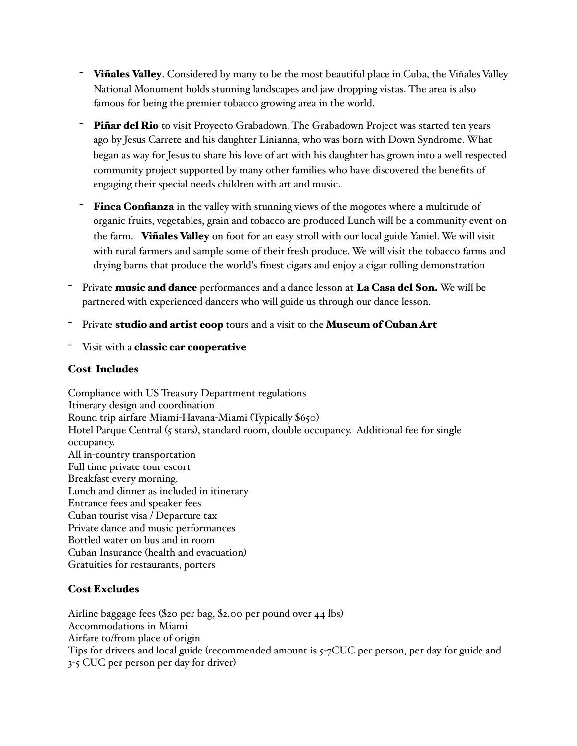- Vinales Valley. Considered by many to be the most beautiful place in Cuba, the Viñales Valley National Monument holds stunning landscapes and jaw dropping vistas. The area is also famous for being the premier tobacco growing area in the world.
- Piñar del Rio to visit Proyecto Grabadown. The Grabadown Project was started ten years ago by Jesus Carrete and his daughter Linianna, who was born with Down Syndrome. What began as way for Jesus to share his love of art with his daughter has grown into a well respected community project supported by many other families who have discovered the benefits of engaging their special needs children with art and music.
- Finca Confianza in the valley with stunning views of the mogotes where a multitude of organic fruits, vegetables, grain and tobacco are produced Lunch will be a community event on the farm. Vinales Valley on foot for an easy stroll with our local guide Yaniel. We will visit with rural farmers and sample some of their fresh produce. We will visit the tobacco farms and drying barns that produce the world's finest cigars and enjoy a cigar rolling demonstration
- Private music and dance performances and a dance lesson at La Casa del Son. We will be partnered with experienced dancers who will guide us through our dance lesson.
- Private studio and artist coop tours and a visit to the Museum of Cuban Art
- Visit with a classic car cooperative

### Cost Includes

Compliance with US Treasury Department regulations Itinerary design and coordination Round trip airfare Miami-Havana-Miami (Typically \$650) Hotel Parque Central (5 stars), standard room, double occupancy. Additional fee for single occupancy. All in-country transportation Full time private tour escort Breakfast every morning. Lunch and dinner as included in itinerary Entrance fees and speaker fees Cuban tourist visa / Departure tax Private dance and music performances Bottled water on bus and in room Cuban Insurance (health and evacuation) Gratuities for restaurants, porters

# Cost Excludes

Airline baggage fees (\$20 per bag, \$2.00 per pound over 44 lbs) Accommodations in Miami Airfare to/from place of origin Tips for drivers and local guide (recommended amount is 5-7CUC per person, per day for guide and 3-5 CUC per person per day for driver)